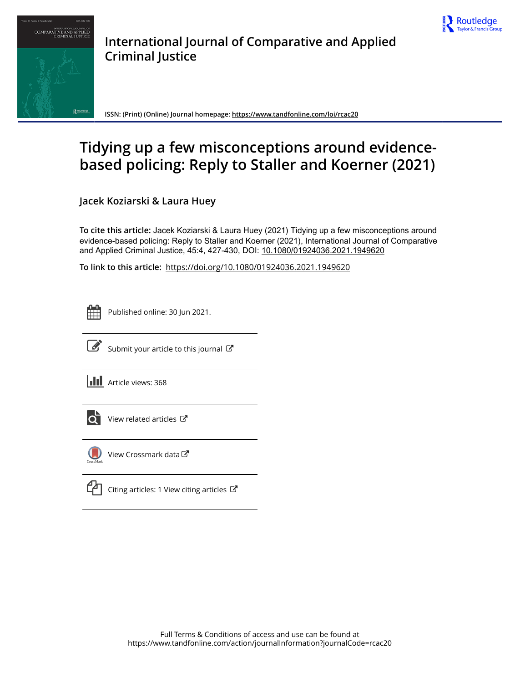



**International Journal of Comparative and Applied Criminal Justice**

**ISSN: (Print) (Online) Journal homepage:<https://www.tandfonline.com/loi/rcac20>**

# **Tidying up a few misconceptions around evidencebased policing: Reply to Staller and Koerner (2021)**

**Jacek Koziarski & Laura Huey**

**To cite this article:** Jacek Koziarski & Laura Huey (2021) Tidying up a few misconceptions around evidence-based policing: Reply to Staller and Koerner (2021), International Journal of Comparative and Applied Criminal Justice, 45:4, 427-430, DOI: [10.1080/01924036.2021.1949620](https://www.tandfonline.com/action/showCitFormats?doi=10.1080/01924036.2021.1949620)

**To link to this article:** <https://doi.org/10.1080/01924036.2021.1949620>

Published online: 30 Jun 2021.



 $\overrightarrow{S}$  [Submit your article to this journal](https://www.tandfonline.com/action/authorSubmission?journalCode=rcac20&show=instructions)  $\overrightarrow{S}$ 

**III** Article views: 368



[View related articles](https://www.tandfonline.com/doi/mlt/10.1080/01924036.2021.1949620)  $\mathbb{Z}$ 



[View Crossmark data](http://crossmark.crossref.org/dialog/?doi=10.1080/01924036.2021.1949620&domain=pdf&date_stamp=2021-06-30) $\mathbb{Z}$ 

[Citing articles: 1 View citing articles](https://www.tandfonline.com/doi/citedby/10.1080/01924036.2021.1949620#tabModule)  $\mathbb{Z}$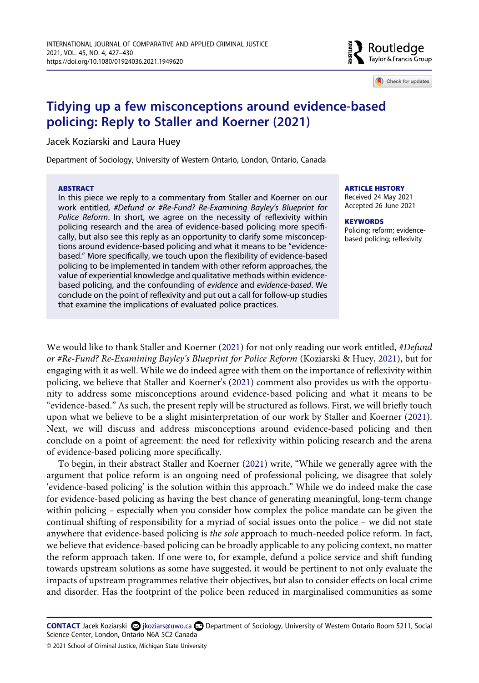

Check for updates

# **Tidying up a few misconceptions around evidence-based policing: Reply to Staller and Koerner (2021)**

Jacek Koziarski and Laura Huey

Department of Sociology, University of Western Ontario, London, Ontario, Canada

#### **ABSTRACT**

In this piece we reply to a commentary from Staller and Koerner on our work entitled, *#Defund or #Re-Fund? Re-Examining Bayley's Blueprint for Police Reform*. In short, we agree on the necessity of reflexivity within policing research and the area of evidence-based policing more specifically, but also see this reply as an opportunity to clarify some misconceptions around evidence-based policing and what it means to be "evidencebased." More specifically, we touch upon the flexibility of evidence-based policing to be implemented in tandem with other reform approaches, the value of experiential knowledge and qualitative methods within evidencebased policing, and the confounding of *evidence* and *evidence-based*. We conclude on the point of reflexivity and put out a call for follow-up studies that examine the implications of evaluated police practices.

#### **ARTICLE HISTORY**

Received 24 May 2021 Accepted 26 June 2021

#### **KEYWORDS**

Policing; reform; evidencebased policing; reflexivity

<span id="page-1-0"></span>We would like to thank Staller and Koerner ([2021\)](#page-4-0) for not only reading our work entitled, *#Defund or #Re-Fund? Re-Examining Bayley's Blueprint for Police Reform* (Koziarski & Huey, [2021\)](#page-4-1), but for engaging with it as well. While we do indeed agree with them on the importance of reflexivity within policing, we believe that Staller and Koerner's ([2021](#page-4-0)) comment also provides us with the opportunity to address some misconceptions around evidence-based policing and what it means to be "evidence-based." As such, the present reply will be structured as follows. First, we will briefly touch upon what we believe to be a slight misinterpretation of our work by Staller and Koerner [\(2021](#page-4-0)). Next, we will discuss and address misconceptions around evidence-based policing and then conclude on a point of agreement: the need for reflexivity within policing research and the arena of evidence-based policing more specifically.

<span id="page-1-1"></span>To begin, in their abstract Staller and Koerner [\(2021](#page-4-0)) write, "While we generally agree with the argument that police reform is an ongoing need of professional policing, we disagree that solely 'evidence-based policing' is the solution within this approach." While we do indeed make the case for evidence-based policing as having the best chance of generating meaningful, long-term change within policing – especially when you consider how complex the police mandate can be given the continual shifting of responsibility for a myriad of social issues onto the police – we did not state anywhere that evidence-based policing is *the sole* approach to much-needed police reform. In fact, we believe that evidence-based policing can be broadly applicable to any policing context, no matter the reform approach taken. If one were to, for example, defund a police service and shift funding towards upstream solutions as some have suggested, it would be pertinent to not only evaluate the impacts of upstream programmes relative their objectives, but also to consider effects on local crime and disorder. Has the footprint of the police been reduced in marginalised communities as some

**CONTACT** Jacek Koziarski Øjkoziars@uwo.ca **Department of Sociology, University of Western Ontario Room 5211, Social** Science Center, London, Ontario N6A 5C2 Canada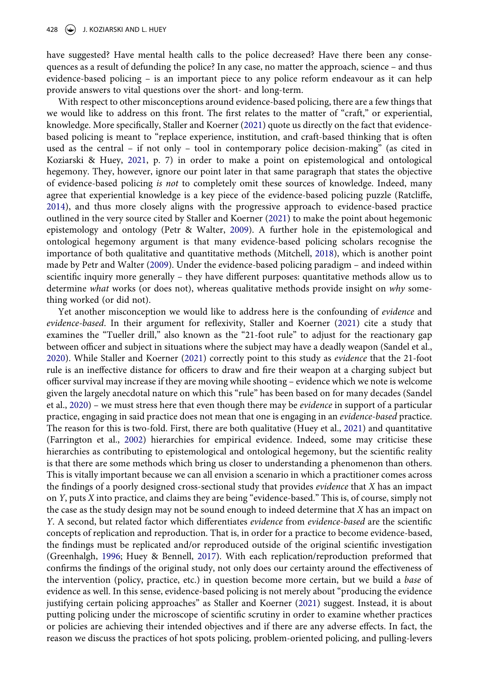have suggested? Have mental health calls to the police decreased? Have there been any consequences as a result of defunding the police? In any case, no matter the approach, science – and thus evidence-based policing – is an important piece to any police reform endeavour as it can help provide answers to vital questions over the short- and long-term.

<span id="page-2-5"></span>With respect to other misconceptions around evidence-based policing, there are a few things that we would like to address on this front. The first relates to the matter of "craft," or experiential, knowledge. More specifically, Staller and Koerner [\(2021](#page-4-0)) quote us directly on the fact that evidencebased policing is meant to "replace experience, institution, and craft-based thinking that is often used as the central – if not only – tool in contemporary police decision-making" (as cited in Koziarski & Huey, [2021,](#page-4-1) p. 7) in order to make a point on epistemological and ontological hegemony. They, however, ignore our point later in that same paragraph that states the objective of evidence-based policing *is not* to completely omit these sources of knowledge. Indeed, many agree that experiential knowledge is a key piece of the evidence-based policing puzzle (Ratcliffe, [2014](#page-4-2)), and thus more closely aligns with the progressive approach to evidence-based practice outlined in the very source cited by Staller and Koerner ([2021\)](#page-4-0) to make the point about hegemonic epistemology and ontology (Petr & Walter, [2009](#page-4-3)). A further hole in the epistemological and ontological hegemony argument is that many evidence-based policing scholars recognise the importance of both qualitative and quantitative methods (Mitchell, [2018\)](#page-4-4), which is another point made by Petr and Walter [\(2009\)](#page-4-3). Under the evidence-based policing paradigm – and indeed within scientific inquiry more generally – they have different purposes: quantitative methods allow us to determine *what* works (or does not), whereas qualitative methods provide insight on *why* something worked (or did not).

<span id="page-2-6"></span><span id="page-2-4"></span><span id="page-2-3"></span><span id="page-2-2"></span><span id="page-2-1"></span><span id="page-2-0"></span>Yet another misconception we would like to address here is the confounding of *evidence* and *evidence-based*. In their argument for reflexivity, Staller and Koerner [\(2021](#page-4-0)) cite a study that examines the "Tueller drill," also known as the "21-foot rule" to adjust for the reactionary gap between officer and subject in situations where the subject may have a deadly weapon (Sandel et al., [2020](#page-4-5)). While Staller and Koerner [\(2021](#page-4-0)) correctly point to this study as *evidence* that the 21-foot rule is an ineffective distance for officers to draw and fire their weapon at a charging subject but officer survival may increase if they are moving while shooting – evidence which we note is welcome given the largely anecdotal nature on which this "rule" has been based on for many decades (Sandel et al., [2020\)](#page-4-5) – we must stress here that even though there may be *evidence* in support of a particular practice, engaging in said practice does not mean that one is engaging in an *evidence-based* practice. The reason for this is two-fold. First, there are both qualitative (Huey et al., [2021](#page-4-6)) and quantitative (Farrington et al., [2002](#page-4-7)) hierarchies for empirical evidence. Indeed, some may criticise these hierarchies as contributing to epistemological and ontological hegemony, but the scientific reality is that there are some methods which bring us closer to understanding a phenomenon than others. This is vitally important because we can all envision a scenario in which a practitioner comes across the findings of a poorly designed cross-sectional study that provides *evidence* that *X* has an impact on *Y*, puts *X* into practice, and claims they are being "evidence-based." This is, of course, simply not the case as the study design may not be sound enough to indeed determine that *X* has an impact on *Y*. A second, but related factor which differentiates *evidence* from *evidence-based* are the scientific concepts of replication and reproduction. That is, in order for a practice to become evidence-based, the findings must be replicated and/or reproduced outside of the original scientific investigation (Greenhalgh, [1996;](#page-4-8) Huey & Bennell, [2017\)](#page-4-9). With each replication/reproduction preformed that confirms the findings of the original study, not only does our certainty around the effectiveness of the intervention (policy, practice, etc.) in question become more certain, but we build a *base* of evidence as well. In this sense, evidence-based policing is not merely about "producing the evidence justifying certain policing approaches" as Staller and Koerner [\(2021\)](#page-4-0) suggest. Instead, it is about putting policing under the microscope of scientific scrutiny in order to examine whether practices or policies are achieving their intended objectives and if there are any adverse effects. In fact, the reason we discuss the practices of hot spots policing, problem-oriented policing, and pulling-levers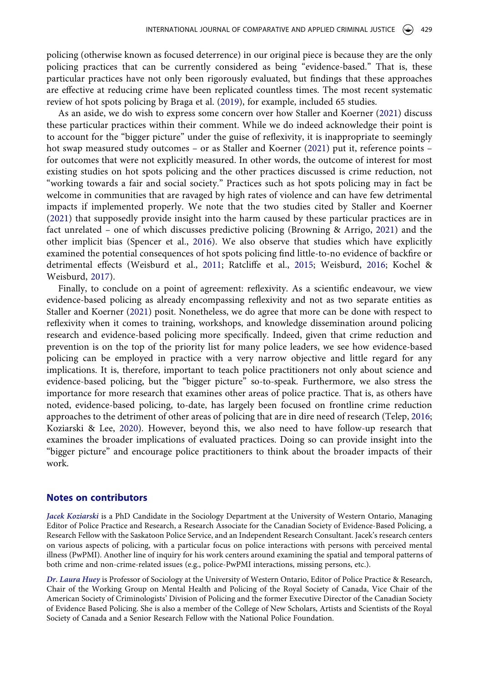policing (otherwise known as focused deterrence) in our original piece is because they are the only policing practices that can be currently considered as being "evidence-based." That is, these particular practices have not only been rigorously evaluated, but findings that these approaches are effective at reducing crime have been replicated countless times. The most recent systematic review of hot spots policing by Braga et al. [\(2019](#page-4-10)), for example, included 65 studies.

<span id="page-3-0"></span>As an aside, we do wish to express some concern over how Staller and Koerner ([2021](#page-4-0)) discuss these particular practices within their comment. While we do indeed acknowledge their point is to account for the "bigger picture" under the guise of reflexivity, it is inappropriate to seemingly hot swap measured study outcomes – or as Staller and Koerner ([2021](#page-4-0)) put it, reference points – for outcomes that were not explicitly measured. In other words, the outcome of interest for most existing studies on hot spots policing and the other practices discussed is crime reduction, not "working towards a fair and social society." Practices such as hot spots policing may in fact be welcome in communities that are ravaged by high rates of violence and can have few detrimental impacts if implemented properly. We note that the two studies cited by Staller and Koerner [\(2021\)](#page-4-0) that supposedly provide insight into the harm caused by these particular practices are in fact unrelated – one of which discusses predictive policing (Browning & Arrigo, [2021\)](#page-4-11) and the other implicit bias (Spencer et al., [2016](#page-4-12)). We also observe that studies which have explicitly examined the potential consequences of hot spots policing find little-to-no evidence of backfire or detrimental effects (Weisburd et al., [2011](#page-4-13); Ratcliffe et al., [2015;](#page-4-14) Weisburd, [2016](#page-4-15); Kochel & Weisburd, [2017\)](#page-4-16).

<span id="page-3-5"></span><span id="page-3-4"></span><span id="page-3-2"></span><span id="page-3-1"></span>Finally, to conclude on a point of agreement: reflexivity. As a scientific endeavour, we view evidence-based policing as already encompassing reflexivity and not as two separate entities as Staller and Koerner ([2021\)](#page-4-0) posit. Nonetheless, we do agree that more can be done with respect to reflexivity when it comes to training, workshops, and knowledge dissemination around policing research and evidence-based policing more specifically. Indeed, given that crime reduction and prevention is on the top of the priority list for many police leaders, we see how evidence-based policing can be employed in practice with a very narrow objective and little regard for any implications. It is, therefore, important to teach police practitioners not only about science and evidence-based policing, but the "bigger picture" so-to-speak. Furthermore, we also stress the importance for more research that examines other areas of police practice. That is, as others have noted, evidence-based policing, to-date, has largely been focused on frontline crime reduction approaches to the detriment of other areas of policing that are in dire need of research (Telep, [2016;](#page-4-17) Koziarski & Lee, [2020](#page-4-18)). However, beyond this, we also need to have follow-up research that examines the broader implications of evaluated practices. Doing so can provide insight into the "bigger picture" and encourage police practitioners to think about the broader impacts of their work.

### <span id="page-3-6"></span><span id="page-3-3"></span>**Notes on contributors**

*Jacek Koziarski* is a PhD Candidate in the Sociology Department at the University of Western Ontario, Managing Editor of Police Practice and Research, a Research Associate for the Canadian Society of Evidence-Based Policing, a Research Fellow with the Saskatoon Police Service, and an Independent Research Consultant. Jacek's research centers on various aspects of policing, with a particular focus on police interactions with persons with perceived mental illness (PwPMI). Another line of inquiry for his work centers around examining the spatial and temporal patterns of both crime and non-crime-related issues (e.g., police-PwPMI interactions, missing persons, etc.).

*Dr. Laura Huey* is Professor of Sociology at the University of Western Ontario, Editor of Police Practice & Research, Chair of the Working Group on Mental Health and Policing of the Royal Society of Canada, Vice Chair of the American Society of Criminologists' Division of Policing and the former Executive Director of the Canadian Society of Evidence Based Policing. She is also a member of the College of New Scholars, Artists and Scientists of the Royal Society of Canada and a Senior Research Fellow with the National Police Foundation.